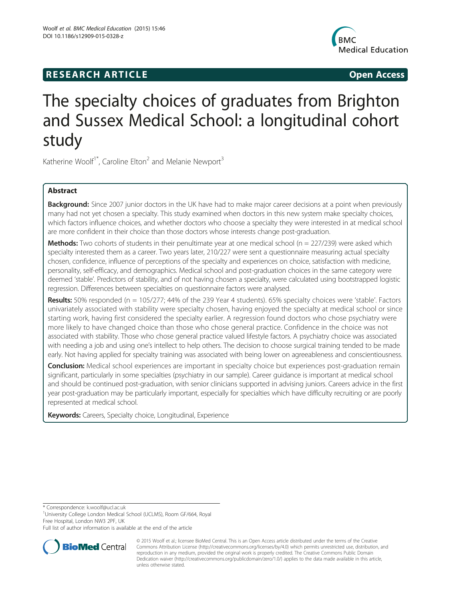# **RESEARCH ARTICLE Example 2014 CONSIDERING CONSIDERING CONSIDERING CONSIDERING CONSIDERING CONSIDERING CONSIDERING CONSIDERING CONSIDERING CONSIDERING CONSIDERING CONSIDERING CONSIDERING CONSIDERING CONSIDERING CONSIDE**



# The specialty choices of graduates from Brighton and Sussex Medical School: a longitudinal cohort study

Katherine Woolf<sup>1\*</sup>, Caroline Elton<sup>2</sup> and Melanie Newport<sup>3</sup>

# Abstract

Background: Since 2007 junior doctors in the UK have had to make major career decisions at a point when previously many had not yet chosen a specialty. This study examined when doctors in this new system make specialty choices, which factors influence choices, and whether doctors who choose a specialty they were interested in at medical school are more confident in their choice than those doctors whose interests change post-graduation.

Methods: Two cohorts of students in their penultimate year at one medical school ( $n = 227/239$ ) were asked which specialty interested them as a career. Two years later, 210/227 were sent a questionnaire measuring actual specialty chosen, confidence, influence of perceptions of the specialty and experiences on choice, satisfaction with medicine, personality, self-efficacy, and demographics. Medical school and post-graduation choices in the same category were deemed 'stable'. Predictors of stability, and of not having chosen a specialty, were calculated using bootstrapped logistic regression. Differences between specialties on questionnaire factors were analysed.

**Results:** 50% responded (n = 105/277; 44% of the 239 Year 4 students). 65% specialty choices were 'stable'. Factors univariately associated with stability were specialty chosen, having enjoyed the specialty at medical school or since starting work, having first considered the specialty earlier. A regression found doctors who chose psychiatry were more likely to have changed choice than those who chose general practice. Confidence in the choice was not associated with stability. Those who chose general practice valued lifestyle factors. A psychiatry choice was associated with needing a job and using one's intellect to help others. The decision to choose surgical training tended to be made early. Not having applied for specialty training was associated with being lower on agreeableness and conscientiousness.

**Conclusion:** Medical school experiences are important in specialty choice but experiences post-graduation remain significant, particularly in some specialties (psychiatry in our sample). Career guidance is important at medical school and should be continued post-graduation, with senior clinicians supported in advising juniors. Careers advice in the first year post-graduation may be particularly important, especially for specialties which have difficulty recruiting or are poorly represented at medical school.

Keywords: Careers, Specialty choice, Longitudinal, Experience

\* Correspondence: [k.woolf@ucl.ac.uk](mailto:k.woolf@ucl.ac.uk) <sup>1</sup>

<sup>1</sup>University College London Medical School (UCLMS), Room GF/664, Royal Free Hospital, London NW3 2PF, UK

Full list of author information is available at the end of the article



<sup>© 2015</sup> Woolf et al.; licensee BioMed Central. This is an Open Access article distributed under the terms of the Creative Commons Attribution License [\(http://creativecommons.org/licenses/by/4.0\)](http://creativecommons.org/licenses/by/4.0) which permits unrestricted use, distribution, and reproduction in any medium, provided the original work is properly credited. The Creative Commons Public Domain Dedication waiver [\(http://creativecommons.org/publicdomain/zero/1.0/](http://creativecommons.org/publicdomain/zero/1.0/)) applies to the data made available in this article, unless otherwise stated.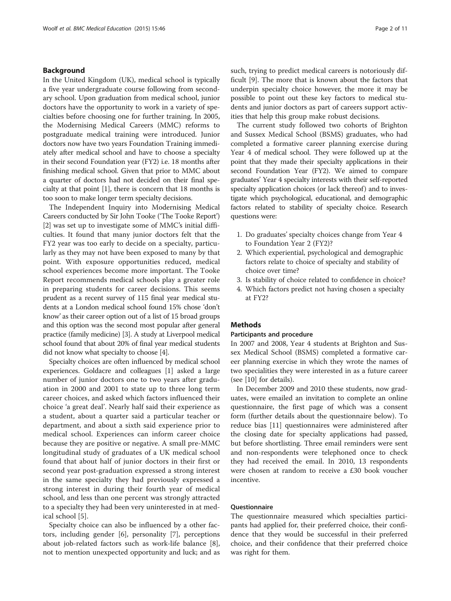# Background

In the United Kingdom (UK), medical school is typically a five year undergraduate course following from secondary school. Upon graduation from medical school, junior doctors have the opportunity to work in a variety of specialties before choosing one for further training. In 2005, the Modernising Medical Careers (MMC) reforms to postgraduate medical training were introduced. Junior doctors now have two years Foundation Training immediately after medical school and have to choose a specialty in their second Foundation year (FY2) i.e. 18 months after finishing medical school. Given that prior to MMC about a quarter of doctors had not decided on their final specialty at that point [\[1](#page-9-0)], there is concern that 18 months is too soon to make longer term specialty decisions.

The Independent Inquiry into Modernising Medical Careers conducted by Sir John Tooke ('The Tooke Report') [[2](#page-9-0)] was set up to investigate some of MMC's initial difficulties. It found that many junior doctors felt that the FY2 year was too early to decide on a specialty, particularly as they may not have been exposed to many by that point. With exposure opportunities reduced, medical school experiences become more important. The Tooke Report recommends medical schools play a greater role in preparing students for career decisions. This seems prudent as a recent survey of 115 final year medical students at a London medical school found 15% chose 'don't know' as their career option out of a list of 15 broad groups and this option was the second most popular after general practice (family medicine) [\[3](#page-9-0)]. A study at Liverpool medical school found that about 20% of final year medical students did not know what specialty to choose [[4\]](#page-9-0).

Specialty choices are often influenced by medical school experiences. Goldacre and colleagues [\[1\]](#page-9-0) asked a large number of junior doctors one to two years after graduation in 2000 and 2001 to state up to three long term career choices, and asked which factors influenced their choice 'a great deal'. Nearly half said their experience as a student, about a quarter said a particular teacher or department, and about a sixth said experience prior to medical school. Experiences can inform career choice because they are positive or negative. A small pre-MMC longitudinal study of graduates of a UK medical school found that about half of junior doctors in their first or second year post-graduation expressed a strong interest in the same specialty they had previously expressed a strong interest in during their fourth year of medical school, and less than one percent was strongly attracted to a specialty they had been very uninterested in at medical school [\[5](#page-9-0)].

Specialty choice can also be influenced by a other factors, including gender [\[6](#page-9-0)], personality [[7\]](#page-9-0), perceptions about job-related factors such as work-life balance [\[8](#page-9-0)], not to mention unexpected opportunity and luck; and as such, trying to predict medical careers is notoriously difficult [[9\]](#page-9-0). The more that is known about the factors that underpin specialty choice however, the more it may be possible to point out these key factors to medical students and junior doctors as part of careers support activities that help this group make robust decisions.

The current study followed two cohorts of Brighton and Sussex Medical School (BSMS) graduates, who had completed a formative career planning exercise during Year 4 of medical school. They were followed up at the point that they made their specialty applications in their second Foundation Year (FY2). We aimed to compare graduates' Year 4 specialty interests with their self-reported specialty application choices (or lack thereof) and to investigate which psychological, educational, and demographic factors related to stability of specialty choice. Research questions were:

- 1. Do graduates' specialty choices change from Year 4 to Foundation Year 2 (FY2)?
- 2. Which experiential, psychological and demographic factors relate to choice of specialty and stability of choice over time?
- 3. Is stability of choice related to confidence in choice?
- 4. Which factors predict not having chosen a specialty at FY2?

#### **Methods**

#### Participants and procedure

In 2007 and 2008, Year 4 students at Brighton and Sussex Medical School (BSMS) completed a formative career planning exercise in which they wrote the names of two specialities they were interested in as a future career (see [[10](#page-9-0)] for details).

In December 2009 and 2010 these students, now graduates, were emailed an invitation to complete an online questionnaire, the first page of which was a consent form (further details about the questionnaire below). To reduce bias [\[11](#page-9-0)] questionnaires were administered after the closing date for specialty applications had passed, but before shortlisting. Three email reminders were sent and non-respondents were telephoned once to check they had received the email. In 2010, 13 respondents were chosen at random to receive a £30 book voucher incentive.

# Questionnaire

The questionnaire measured which specialties participants had applied for, their preferred choice, their confidence that they would be successful in their preferred choice, and their confidence that their preferred choice was right for them.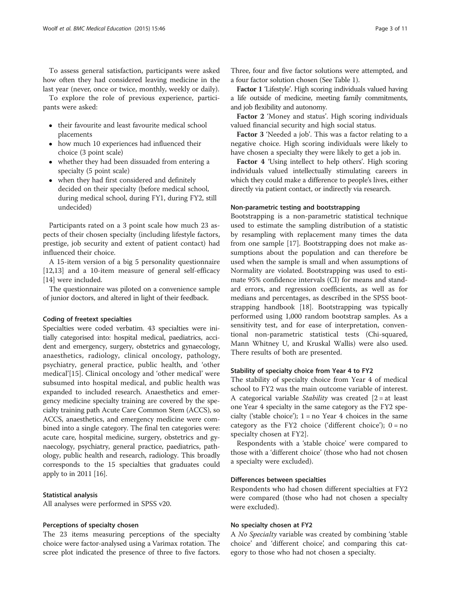To explore the role of previous experience, participants were asked:

- their favourite and least favourite medical school placements
- how much 10 experiences had influenced their choice (3 point scale)
- whether they had been dissuaded from entering a specialty (5 point scale)
- when they had first considered and definitely decided on their specialty (before medical school, during medical school, during FY1, during FY2, still undecided)

Participants rated on a 3 point scale how much 23 aspects of their chosen specialty (including lifestyle factors, prestige, job security and extent of patient contact) had influenced their choice.

A 15-item version of a big 5 personality questionnaire [[12,13\]](#page-9-0) and a 10-item measure of general self-efficacy [[14\]](#page-9-0) were included.

The questionnaire was piloted on a convenience sample of junior doctors, and altered in light of their feedback.

#### Coding of freetext specialties

Specialties were coded verbatim. 43 specialties were initially categorised into: hospital medical, paediatrics, accident and emergency, surgery, obstetrics and gynaecology, anaesthetics, radiology, clinical oncology, pathology, psychiatry, general practice, public health, and 'other medical'[\[15](#page-9-0)]. Clinical oncology and 'other medical' were subsumed into hospital medical, and public health was expanded to included research. Anaesthetics and emergency medicine specialty training are covered by the specialty training path Acute Care Common Stem (ACCS), so ACCS, anaesthetics, and emergency medicine were combined into a single category. The final ten categories were: acute care, hospital medicine, surgery, obstetrics and gynaecology, psychiatry, general practice, paediatrics, pathology, public health and research, radiology. This broadly corresponds to the 15 specialties that graduates could apply to in 2011 [[16\]](#page-10-0).

#### Statistical analysis

All analyses were performed in SPSS v20.

#### Perceptions of specialty chosen

The 23 items measuring perceptions of the specialty choice were factor-analysed using a Varimax rotation. The scree plot indicated the presence of three to five factors.

Three, four and five factor solutions were attempted, and a four factor solution chosen (See Table [1](#page-3-0)).

Factor 1 'Lifestyle'. High scoring individuals valued having a life outside of medicine, meeting family commitments, and job flexibility and autonomy.

Factor 2 'Money and status'. High scoring individuals valued financial security and high social status.

Factor 3 'Needed a job'. This was a factor relating to a negative choice. High scoring individuals were likely to have chosen a specialty they were likely to get a job in.

Factor 4 'Using intellect to help others'. High scoring individuals valued intellectually stimulating careers in which they could make a difference to people's lives, either directly via patient contact, or indirectly via research.

## Non-parametric testing and bootstrapping

Bootstrapping is a non-parametric statistical technique used to estimate the sampling distribution of a statistic by resampling with replacement many times the data from one sample [[17\]](#page-10-0). Bootstrapping does not make assumptions about the population and can therefore be used when the sample is small and when assumptions of Normality are violated. Bootstrapping was used to estimate 95% confidence intervals (CI) for means and standard errors, and regression coefficients, as well as for medians and percentages, as described in the SPSS bootstrapping handbook [[18\]](#page-10-0). Bootstrapping was typically performed using 1,000 random bootstrap samples. As a sensitivity test, and for ease of interpretation, conventional non-parametric statistical tests (Chi-squared, Mann Whitney U, and Kruskal Wallis) were also used. There results of both are presented.

## Stability of specialty choice from Year 4 to FY2

The stability of specialty choice from Year 4 of medical school to FY2 was the main outcome variable of interest. A categorical variable *Stability* was created  $[2 = at$  least one Year 4 specialty in the same category as the FY2 specialty ('stable choice');  $1 = no$  Year 4 choices in the same category as the FY2 choice ('different choice');  $0 = no$ specialty chosen at FY2].

Respondents with a 'stable choice' were compared to those with a 'different choice' (those who had not chosen a specialty were excluded).

## Differences between specialties

Respondents who had chosen different specialties at FY2 were compared (those who had not chosen a specialty were excluded).

# No specialty chosen at FY2

A No Specialty variable was created by combining 'stable choice' and 'different choice', and comparing this category to those who had not chosen a specialty.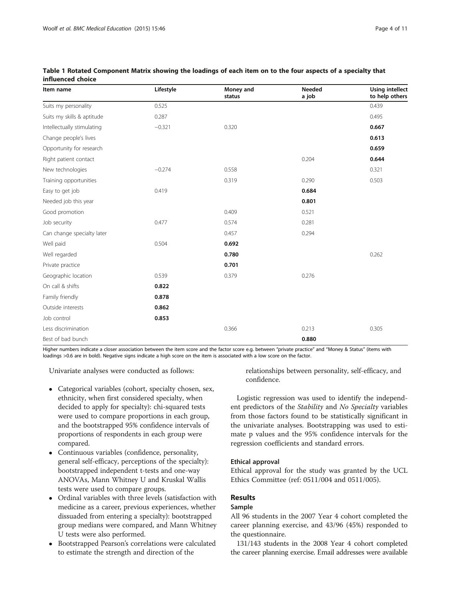| Item name                  | Lifestyle | Money and<br>status | <b>Needed</b><br>a job | <b>Using intellect</b><br>to help others |
|----------------------------|-----------|---------------------|------------------------|------------------------------------------|
| Suits my personality       | 0.525     |                     |                        | 0.439                                    |
| Suits my skills & aptitude | 0.287     |                     |                        | 0.495                                    |
| Intellectually stimulating | $-0.321$  | 0.320               |                        | 0.667                                    |
| Change people's lives      |           |                     |                        | 0.613                                    |
| Opportunity for research   |           |                     |                        | 0.659                                    |
| Right patient contact      |           |                     | 0.204                  | 0.644                                    |
| New technologies           | $-0.274$  | 0.558               |                        | 0.321                                    |
| Training opportunities     |           | 0.319               | 0.290                  | 0.503                                    |
| Easy to get job            | 0.419     |                     | 0.684                  |                                          |
| Needed job this year       |           |                     | 0.801                  |                                          |
| Good promotion             |           | 0.409               | 0.521                  |                                          |
| Job security               | 0.477     | 0.574               | 0.281                  |                                          |
| Can change specialty later |           | 0.457               | 0.294                  |                                          |
| Well paid                  | 0.504     | 0.692               |                        |                                          |
| Well regarded              |           | 0.780               |                        | 0.262                                    |
| Private practice           |           | 0.701               |                        |                                          |
| Geographic location        | 0.539     | 0.379               | 0.276                  |                                          |
| On call & shifts           | 0.822     |                     |                        |                                          |
| Family friendly            | 0.878     |                     |                        |                                          |
| Outside interests          | 0.862     |                     |                        |                                          |
| Job control                | 0.853     |                     |                        |                                          |
| Less discrimination        |           | 0.366               | 0.213                  | 0.305                                    |
| Best of bad bunch          |           |                     | 0.880                  |                                          |

<span id="page-3-0"></span>

|                   |  |  |  | Table 1 Rotated Component Matrix showing the loadings of each item on to the four aspects of a specialty that |  |
|-------------------|--|--|--|---------------------------------------------------------------------------------------------------------------|--|
| influenced choice |  |  |  |                                                                                                               |  |

Higher numbers indicate a closer association between the item score and the factor score e.g. between "private practice" and "Money & Status" (items with loadings >0.6 are in bold). Negative signs indicate a high score on the item is associated with a low score on the factor.

Univariate analyses were conducted as follows:

- Categorical variables (cohort, specialty chosen, sex, ethnicity, when first considered specialty, when decided to apply for specialty): chi-squared tests were used to compare proportions in each group, and the bootstrapped 95% confidence intervals of proportions of respondents in each group were compared.
- Continuous variables (confidence, personality, general self-efficacy, perceptions of the specialty): bootstrapped independent t-tests and one-way ANOVAs, Mann Whitney U and Kruskal Wallis tests were used to compare groups.
- Ordinal variables with three levels (satisfaction with medicine as a career, previous experiences, whether dissuaded from entering a specialty): bootstrapped group medians were compared, and Mann Whitney U tests were also performed.
- Bootstrapped Pearson's correlations were calculated to estimate the strength and direction of the

relationships between personality, self-efficacy, and confidence.

Logistic regression was used to identify the independent predictors of the Stability and No Specialty variables from those factors found to be statistically significant in the univariate analyses. Bootstrapping was used to estimate p values and the 95% confidence intervals for the regression coefficients and standard errors.

# Ethical approval

Ethical approval for the study was granted by the UCL Ethics Committee (ref: 0511/004 and 0511/005).

# Results

# Sample

All 96 students in the 2007 Year 4 cohort completed the career planning exercise, and 43/96 (45%) responded to the questionnaire.

131/143 students in the 2008 Year 4 cohort completed the career planning exercise. Email addresses were available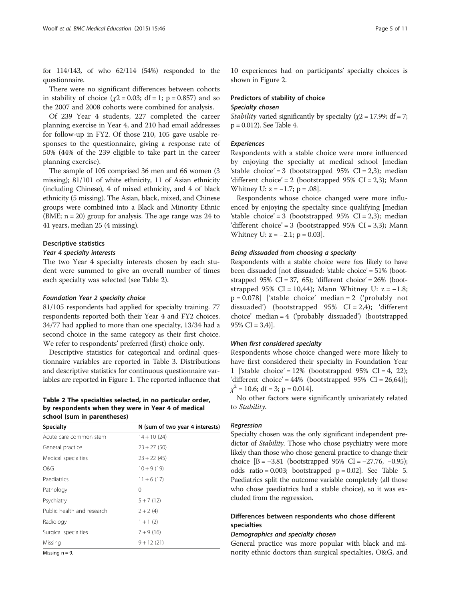for 114/143, of who 62/114 (54%) responded to the questionnaire.

There were no significant differences between cohorts in stability of choice  $(\chi^2 = 0.03; df = 1; p = 0.857)$  and so the 2007 and 2008 cohorts were combined for analysis.

Of 239 Year 4 students, 227 completed the career planning exercise in Year 4, and 210 had email addresses for follow-up in FY2. Of those 210, 105 gave usable responses to the questionnaire, giving a response rate of 50% (44% of the 239 eligible to take part in the career planning exercise).

The sample of 105 comprised 36 men and 66 women (3 missing); 81/101 of white ethnicity, 11 of Asian ethnicity (including Chinese), 4 of mixed ethnicity, and 4 of black ethnicity (5 missing). The Asian, black, mixed, and Chinese groups were combined into a Black and Minority Ethnic (BME;  $n = 20$ ) group for analysis. The age range was 24 to 41 years, median 25 (4 missing).

## Descriptive statistics

#### Year 4 specialty interests

The two Year 4 specialty interests chosen by each student were summed to give an overall number of times each specialty was selected (see Table 2).

#### Foundation Year 2 specialty choice

81/105 respondents had applied for specialty training. 77 respondents reported both their Year 4 and FY2 choices. 34/77 had applied to more than one specialty, 13/34 had a second choice in the same category as their first choice. We refer to respondents' preferred (first) choice only.

Descriptive statistics for categorical and ordinal questionnaire variables are reported in Table [3](#page-5-0). Distributions and descriptive statistics for continuous questionnaire variables are reported in Figure [1.](#page-5-0) The reported influence that

# Table 2 The specialties selected, in no particular order, by respondents when they were in Year 4 of medical school (sum in parentheses)

| <b>Specialty</b>           | N (sum of two year 4 interests) |
|----------------------------|---------------------------------|
| Acute care common stem     | $14 + 10(24)$                   |
| General practice           | $23 + 27(50)$                   |
| Medical specialties        | $23 + 22(45)$                   |
| 0&G                        | $10 + 9(19)$                    |
| Paediatrics                | $11 + 6(17)$                    |
| Pathology                  | 0                               |
| Psychiatry                 | $5 + 7(12)$                     |
| Public health and research | $2 + 2(4)$                      |
| Radiology                  | $1 + 1(2)$                      |
| Surgical specialties       | $7 + 9(16)$                     |
| Missing                    | $9 + 12(21)$                    |

Missing  $n = 9$ .

10 experiences had on participants' specialty choices is shown in Figure [2.](#page-6-0)

# Predictors of stability of choice

# Specialty chosen

*Stability* varied significantly by specialty ( $\chi$ 2 = 17.99; df = 7; p = 0.012). See Table [4](#page-6-0).

## Experiences

Respondents with a stable choice were more influenced by enjoying the specialty at medical school [median 'stable choice' = 3 (bootstrapped  $95\%$  CI = 2,3); median 'different choice' = 2 (bootstrapped  $95\%$  CI = 2,3); Mann Whitney U:  $z = -1.7$ ;  $p = .08$ ].

Respondents whose choice changed were more influenced by enjoying the specialty since qualifying [median 'stable choice' = 3 (bootstrapped  $95\%$  CI = 2,3); median 'different choice' = 3 (bootstrapped  $95\%$  CI = 3,3); Mann Whitney U:  $z = -2.1$ ;  $p = 0.03$ ].

# Being dissuaded from choosing a specialty

Respondents with a stable choice were less likely to have been dissuaded [not dissuaded: 'stable choice' = 51% (bootstrapped 95% CI = 37, 65); 'different choice' =  $26\%$  (bootstrapped 95% CI = 10,44); Mann Whitney U:  $z = -1.8$ ;  $p = 0.078$ ] ['stable choice' median = 2 ('probably not dissuaded') (bootstrapped 95% CI = 2,4); 'different choice' median = 4 ('probably dissuaded') (bootstrapped  $95\%$  CI = 3,4)].

#### When first considered specialty

Respondents whose choice changed were more likely to have first considered their specialty in Foundation Year 1 ['stable choice' =  $12\%$  (bootstrapped 95% CI = 4, 22); 'different choice' =  $44\%$  (bootstrapped 95% CI = 26,64)];  $\chi^2 = 10.6$ ; df = 3; p = 0.014].

No other factors were significantly univariately related to Stability.

# Regression

Specialty chosen was the only significant independent predictor of *Stability*. Those who chose psychiatry were more likely than those who chose general practice to change their choice  $[B = -3.81$  (bootstrapped 95% CI =  $-27.76$ ,  $-0.95$ ); odds ratio =  $0.003$ ; bootstrapped p =  $0.02$ ]. See Table [5](#page-7-0). Paediatrics split the outcome variable completely (all those who chose paediatrics had a stable choice), so it was excluded from the regression.

# Differences between respondents who chose different specialties

### Demographics and specialty chosen

General practice was more popular with black and minority ethnic doctors than surgical specialties, O&G, and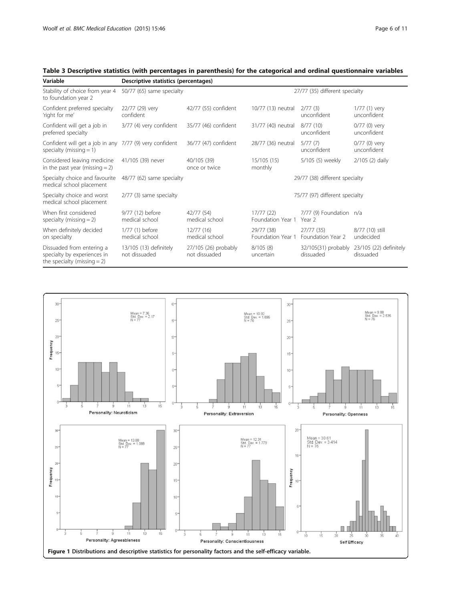| Variable                                                                                   | Descriptive statistics (percentages)    |                                       |                                 |                                              |                                     |
|--------------------------------------------------------------------------------------------|-----------------------------------------|---------------------------------------|---------------------------------|----------------------------------------------|-------------------------------------|
| Stability of choice from year 4<br>to foundation year 2                                    | 50/77 (65) same specialty               |                                       |                                 | 27/77 (35) different specialty               |                                     |
| Confident preferred specialty<br>'right for me'                                            | 22/77 (29) very<br>confident            | 42/77 (55) confident                  | 10/77 (13) neutral              | 2/77(3)<br>unconfident                       | 1/77 (1) very<br>unconfident        |
| Confident will get a job in<br>preferred specialty                                         | 3/77 (4) very confident                 | 35/77 (46) confident                  | 31/77 (40) neutral              | 8/77(10)<br>unconfident                      | $0/77$ (0) very<br>unconfident      |
| Confident will get a job in any 7/77 (9) very confident<br>specialty (missing $= 1$ )      |                                         | 36/77 (47) confident                  | 28/77 (36) neutral              | 5/77(7)<br>unconfident                       | $0/77$ (0) very<br>unconfident      |
| Considered leaving medicine<br>in the past year (missing $= 2$ )                           | 41/105 (39) never                       | 40/105 (39)<br>once or twice          | 15/105(15)<br>monthly           | 5/105 (5) weekly                             | 2/105 (2) daily                     |
| Specialty choice and favourite<br>medical school placement                                 | 48/77 (62) same specialty               |                                       |                                 | 29/77 (38) different specialty               |                                     |
| Specialty choice and worst<br>medical school placement                                     | 2/77 (3) same specialty                 |                                       |                                 | 75/77 (97) different specialty               |                                     |
| When first considered<br>specialty (missing $= 2$ )                                        | 9/77 (12) before<br>medical school      | 42/77 (54)<br>medical school          | 17/77(22)<br>Foundation Year 1  | 7/77 (9) Foundation n/a<br>Year <sub>2</sub> |                                     |
| When definitely decided<br>on specialty                                                    | 1/77 (1) before<br>medical school       | 12/77(16)<br>medical school           | 29/77 (38)<br>Foundation Year 1 | 27/77(35)<br>Foundation Year 2               | 8/77 (10) still<br>undecided        |
| Dissuaded from entering a<br>specialty by experiences in<br>the specialty (missing $= 2$ ) | 13/105 (13) definitely<br>not dissuaded | 27/105 (26) probably<br>not dissuaded | 8/105(8)<br>uncertain           | 32/105(31) probably<br>dissuaded             | 23/105 (22) definitely<br>dissuaded |

<span id="page-5-0"></span>Table 3 Descriptive statistics (with percentages in parenthesis) for the categorical and ordinal questionnaire variables

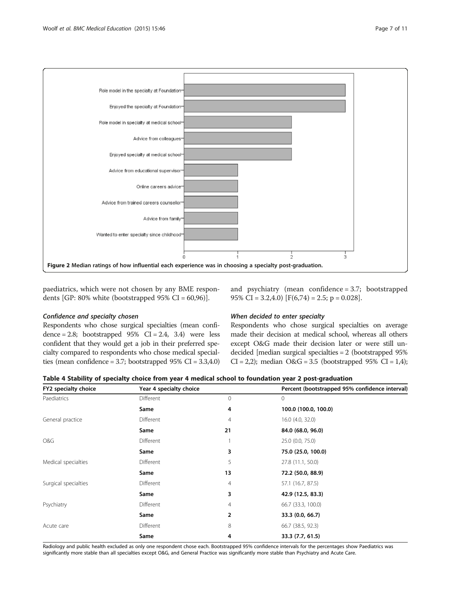<span id="page-6-0"></span>

paediatrics, which were not chosen by any BME respondents [GP: 80% white (bootstrapped 95% CI =  $60,96$ )].

# Confidence and specialty chosen

Respondents who chose surgical specialties (mean confidence = 2.8; bootstrapped  $95\%$  CI = 2.4, 3.4) were less confident that they would get a job in their preferred specialty compared to respondents who chose medical specialties (mean confidence = 3.7; bootstrapped  $95\%$  CI = 3.3,4.0) and psychiatry (mean confidence = 3.7; bootstrapped 95% CI = 3.2,4.0)  $[F(6,74) = 2.5; p = 0.028]$ .

# When decided to enter specialty

Respondents who chose surgical specialties on average made their decision at medical school, whereas all others except O&G made their decision later or were still undecided [median surgical specialties = 2 (bootstrapped 95%  $CI = 2,2$ ; median O&G = 3.5 (bootstrapped 95%  $CI = 1,4$ );

| Table 4 Stability of specialty choice from year 4 medical school to foundation year 2 post-graduation |  |  |
|-------------------------------------------------------------------------------------------------------|--|--|
|-------------------------------------------------------------------------------------------------------|--|--|

| FY2 specialty choice | Year 4 specialty choice |              | Percent (bootstrapped 95% confidence interval) |
|----------------------|-------------------------|--------------|------------------------------------------------|
| Paediatrics          | Different               | $\mathbf{0}$ | $\mathbf{0}$                                   |
|                      | Same                    | 4            | 100.0 (100.0, 100.0)                           |
| General practice     | Different               | 4            | 16.0 (4.0, 32.0)                               |
|                      | Same                    | 21           | 84.0 (68.0, 96.0)                              |
| O&G                  | Different               |              | 25.0 (0.0, 75.0)                               |
|                      | Same                    | 3            | 75.0 (25.0, 100.0)                             |
| Medical specialties  | Different               | 5            | 27.8 (11.1, 50.0)                              |
|                      | Same                    | 13           | 72.2 (50.0, 88.9)                              |
| Surgical specialties | Different               | 4            | 57.1 (16.7, 87.5)                              |
|                      | Same                    | 3            | 42.9 (12.5, 83.3)                              |
| Psychiatry           | Different               | 4            | 66.7 (33.3, 100.0)                             |
|                      | Same                    | 2            | 33.3 (0.0, 66.7)                               |
| Acute care           | Different               | 8            | 66.7 (38.5, 92.3)                              |
|                      | Same                    | 4            | 33.3 (7.7, 61.5)                               |

Radiology and public health excluded as only one respondent chose each. Bootstrapped 95% confidence intervals for the percentages show Paediatrics was significantly more stable than all specialties except O&G, and General Practice was significantly more stable than Psychiatry and Acute Care.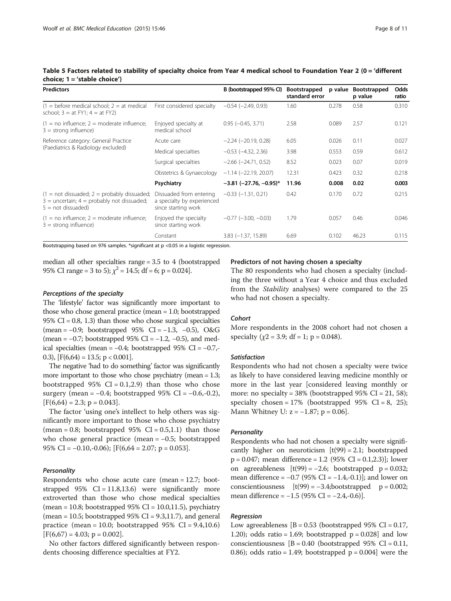| <b>Predictors</b>                                                                                                      |                                                                              | B (bootstrapped 95% CI)         | Bootstrapped<br>standard error | p value | <b>Bootstrapped</b><br>p value | Odds<br>ratio |
|------------------------------------------------------------------------------------------------------------------------|------------------------------------------------------------------------------|---------------------------------|--------------------------------|---------|--------------------------------|---------------|
| $(1 = \text{before medical school}; 2 = \text{at medical}]$<br>school; $3 = at FY1$ ; $4 = at FY2$ )                   | First considered specialty                                                   | $-0.54$ ( $-2.49$ , 0.93)       | 1.60                           | 0.278   | 0.58                           | 0.310         |
| $(1 = no$ influence; $2 =$ moderate influence;<br>$3 =$ strong influence)                                              | Enjoyed specialty at<br>medical school                                       | $0.95 (-0.45, 3.71)$            | 2.58                           | 0.089   | 2.57                           | 0.121         |
| Reference category: General Practice                                                                                   | Acute care                                                                   | $-2.24$ $(-20.19, 0.28)$        | 6.05                           | 0.026   | 0.11                           | 0.027         |
| (Paediatrics & Radiology excluded)                                                                                     | Medical specialties                                                          | $-0.53$ $(-4.32, 2.36)$         | 3.98                           | 0.553   | 0.59                           | 0.612         |
|                                                                                                                        | Surgical specialties                                                         | $-2.66$ $(-24.71, 0.52)$        | 8.52                           | 0.023   | 0.07                           | 0.019         |
|                                                                                                                        | Obstetrics & Gynaecology                                                     | $-1.14$ ( $-22.19$ , 20.07)     | 12.31                          | 0.423   | 0.32                           | 0.218         |
|                                                                                                                        | Psychiatry                                                                   | $-3.81$ ( $-27.76$ , $-0.95$ )* | 11.96                          | 0.008   | 0.02                           | 0.003         |
| $(1 = not dissuaded; 2 = probably dissuaded;$<br>$3 =$ uncertain; $4 =$ probably not dissuaded;<br>$5 = not dissuaded$ | Dissuaded from entering<br>a specialty by experienced<br>since starting work | $-0.33$ $(-1.31, 0.21)$         | 0.42                           | 0.170   | 0.72                           | 0.215         |
| $(1 = no$ influence; $2 =$ moderate influence;<br>$3 =$ strong influence)                                              | Enjoyed the specialty<br>since starting work                                 | $-0.77$ $(-3.00, -0.03)$        | 1.79                           | 0.057   | 0.46                           | 0.046         |
|                                                                                                                        | Constant                                                                     | $3.83$ (-1.37, 15.89)           | 6.69                           | 0.102   | 46.23                          | 0.115         |

<span id="page-7-0"></span>Table 5 Factors related to stability of specialty choice from Year 4 medical school to Foundation Year 2 (0 = 'different choice; 1 = 'stable choice')

Bootstrapping based on 976 samples. \*significant at p <0.05 in a logistic regression.

median all other specialties range = 3.5 to 4 (bootstrapped 95% CI range = 3 to 5);  $\chi^2$  = 14.5; df = 6; p = 0.024].

## Perceptions of the specialty

The 'lifestyle' factor was significantly more important to those who chose general practice (mean = 1.0; bootstrapped 95%  $CI = 0.8$ , 1.3) than those who chose surgical specialties (mean = −0.9; bootstrapped 95% CI = −1.3, −0.5), O&G (mean =  $-0.7$ ; bootstrapped 95% CI =  $-1.2$ ,  $-0.5$ ), and medical specialties (mean =  $-0.4$ ; bootstrapped 95% CI =  $-0.7$ ,-0.3),  $[F(6,64) = 13.5; p < 0.001]$ .

The negative 'had to do something' factor was significantly more important to those who chose psychiatry (mean = 1.3; bootstrapped 95%  $CI = 0.1, 2.9$  than those who chose surgery (mean =  $-0.4$ ; bootstrapped 95% CI =  $-0.6, -0.2$ ),  $[F(6,64) = 2.3; p = 0.043].$ 

The factor 'using one's intellect to help others was significantly more important to those who chose psychiatry (mean = 0.8; bootstrapped  $95\%$  CI = 0.5,1.1) than those who chose general practice (mean = −0.5; bootstrapped 95% CI =  $-0.10, -0.06$ ); [F(6,64 = 2.07; p = 0.053].

#### **Personality**

Respondents who chose acute care (mean = 12.7; bootstrapped  $95\%$  CI = 11.8,13.6) were significantly more extroverted than those who chose medical specialties (mean = 10.8; bootstrapped  $95\%$  CI = 10.0,11.5), psychiatry  $(mean = 10.5; bootstrapped 95% CI = 9.3,11.7)$ , and general practice (mean = 10.0; bootstrapped  $95\%$  CI = 9.4,10.6)  $[F(6,67) = 4.03; p = 0.002].$ 

No other factors differed significantly between respondents choosing difference specialties at FY2.

# Predictors of not having chosen a specialty

The 80 respondents who had chosen a specialty (including the three without a Year 4 choice and thus excluded from the Stability analyses) were compared to the 25 who had not chosen a specialty.

#### Cohort

More respondents in the 2008 cohort had not chosen a specialty ( $\chi$ 2 = 3.9; df = 1; p = 0.048).

# **Satisfaction**

Respondents who had not chosen a specialty were twice as likely to have considered leaving medicine monthly or more in the last year [considered leaving monthly or more: no specialty =  $38\%$  (bootstrapped  $95\%$  CI = 21, 58); specialty chosen =  $17\%$  (bootstrapped 95% CI = 8, 25); Mann Whitney U:  $z = -1.87$ ;  $p = 0.06$ .

#### **Personality**

Respondents who had not chosen a specialty were significantly higher on neuroticism  $[t(99) = 2.1;$  bootstrapped  $p = 0.047$ ; mean difference = 1.2 (95% CI = 0.1,2.3)]; lower on agreeableness  $[t(99) = -2.6;$  bootstrapped  $p = 0.032;$ mean difference =  $-0.7$  (95% CI =  $-1.4,-0.1$ )]; and lower on conscientiousness  $[t(99) = -3.4;$ bootstrapped p = 0.002; mean difference =  $-1.5$  (95% CI =  $-2.4,-0.6$ ).

#### Regression

Low agreeableness  $[B = 0.53$  (bootstrapped 95% CI = 0.17, 1.20); odds ratio = 1.69; bootstrapped  $p = 0.028$  and low conscientiousness  $[B = 0.40$  (bootstrapped 95% CI = 0.11, 0.86); odds ratio = 1.49; bootstrapped  $p = 0.004$ ] were the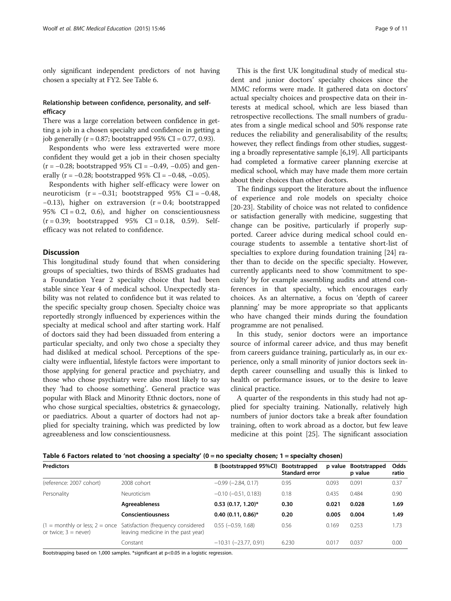only significant independent predictors of not having chosen a specialty at FY2. See Table 6.

# Relationship between confidence, personality, and selfefficacy

There was a large correlation between confidence in getting a job in a chosen specialty and confidence in getting a job generally ( $r = 0.87$ ; bootstrapped 95% CI = 0.77, 0.93).

Respondents who were less extraverted were more confident they would get a job in their chosen specialty  $(r = -0.28;$  bootstrapped 95% CI =  $-0.49, -0.05$ ) and generally (r =  $-0.28$ ; bootstrapped 95% CI =  $-0.48$ ,  $-0.05$ ).

Respondents with higher self-efficacy were lower on neuroticism  $(r = -0.31;$  bootstrapped 95% CI =  $-0.48$ , −0.13), higher on extraversion (r = 0.4; bootstrapped 95%  $CI = 0.2, 0.6$ , and higher on conscientiousness  $(r = 0.39;$  bootstrapped 95% CI = 0.18, 0.59). Selfefficacy was not related to confidence.

# **Discussion**

This longitudinal study found that when considering groups of specialties, two thirds of BSMS graduates had a Foundation Year 2 specialty choice that had been stable since Year 4 of medical school. Unexpectedly stability was not related to confidence but it was related to the specific specialty group chosen. Specialty choice was reportedly strongly influenced by experiences within the specialty at medical school and after starting work. Half of doctors said they had been dissuaded from entering a particular specialty, and only two chose a specialty they had disliked at medical school. Perceptions of the specialty were influential, lifestyle factors were important to those applying for general practice and psychiatry, and those who chose psychiatry were also most likely to say they 'had to choose something'. General practice was popular with Black and Minority Ethnic doctors, none of who chose surgical specialties, obstetrics & gynaecology, or paediatrics. About a quarter of doctors had not applied for specialty training, which was predicted by low agreeableness and low conscientiousness.

This is the first UK longitudinal study of medical student and junior doctors' specialty choices since the MMC reforms were made. It gathered data on doctors' actual specialty choices and prospective data on their interests at medical school, which are less biased than retrospective recollections. The small numbers of graduates from a single medical school and 50% response rate reduces the reliability and generalisability of the results; however, they reflect findings from other studies, suggesting a broadly representative sample [\[6](#page-9-0)[,19\]](#page-10-0). All participants had completed a formative career planning exercise at medical school, which may have made them more certain about their choices than other doctors.

The findings support the literature about the influence of experience and role models on specialty choice [[20-23](#page-10-0)]. Stability of choice was not related to confidence or satisfaction generally with medicine, suggesting that change can be positive, particularly if properly supported. Career advice during medical school could encourage students to assemble a tentative short-list of specialties to explore during foundation training [[24](#page-10-0)] rather than to decide on the specific specialty. However, currently applicants need to show 'commitment to specialty' by for example assembling audits and attend conferences in that specialty, which encourages early choices. As an alternative, a focus on 'depth of career planning' may be more appropriate so that applicants who have changed their minds during the foundation programme are not penalised.

In this study, senior doctors were an importance source of informal career advice, and thus may benefit from careers guidance training, particularly as, in our experience, only a small minority of junior doctors seek indepth career counselling and usually this is linked to health or performance issues, or to the desire to leave clinical practice.

A quarter of the respondents in this study had not applied for specialty training. Nationally, relatively high numbers of junior doctors take a break after foundation training, often to work abroad as a doctor, but few leave medicine at this point [\[25\]](#page-10-0). The significant association

Table 6 Factors related to 'not choosing a specialty'  $(0 = no$  specialty chosen;  $1 =$  specialty chosen)

| <b>Predictors</b>        |                                                                                                           | B (bootstrapped 95%CI) Bootstrapped | <b>Standard error</b> |       | p value Bootstrapped<br>p value | Odds<br>ratio |
|--------------------------|-----------------------------------------------------------------------------------------------------------|-------------------------------------|-----------------------|-------|---------------------------------|---------------|
| (reference: 2007 cohort) | $2008$ cohort                                                                                             | $-0.99$ $(-2.84, 0.17)$             | 0.95                  | 0.093 | 0.091                           | 0.37          |
| Personality              | Neuroticism                                                                                               | $-0.10$ $(-0.51, 0.183)$            | 0.18                  | 0.435 | 0.484                           | 0.90          |
|                          | Agreeableness                                                                                             | $0.53$ (0.17, 1.20)*                | 0.30                  | 0.021 | 0.028                           | 1.69          |
|                          | <b>Conscientiousness</b>                                                                                  | $0.40$ (0.11, 0.86)*                | 0.20                  | 0.005 | 0.004                           | 1.49          |
| or twice; $3 =$ never)   | $(1 =$ monthly or less; 2 = once Satisfaction (frequency considered<br>leaving medicine in the past year) | $0.55$ ( $-0.59$ , 1.68)            | 0.56                  | 0.169 | 0.253                           | 1.73          |
|                          | Constant                                                                                                  | $-10.31$ $(-23.77, 0.91)$           | 6.230                 | 0.017 | 0.037                           | 0.00          |

Bootstrapping based on 1,000 samples. \*significant at p<0.05 in a logistic regression.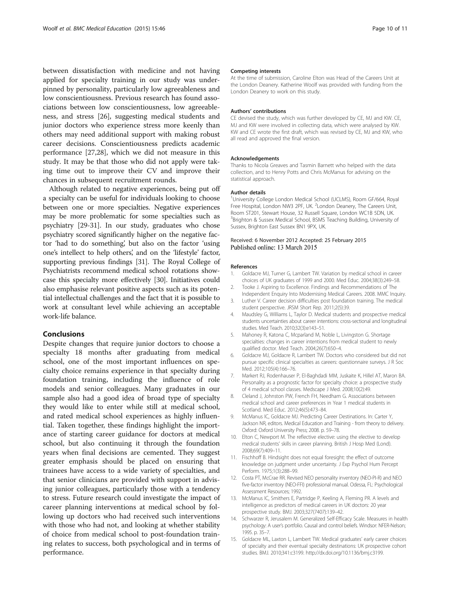<span id="page-9-0"></span>between dissatisfaction with medicine and not having applied for specialty training in our study was underpinned by personality, particularly low agreeableness and low conscientiousness. Previous research has found associations between low conscientiousness, low agreeableness, and stress [\[26\]](#page-10-0), suggesting medical students and junior doctors who experience stress more keenly than others may need additional support with making robust career decisions. Conscientiousness predicts academic performance [[27](#page-10-0),[28](#page-10-0)], which we did not measure in this study. It may be that those who did not apply were taking time out to improve their CV and improve their chances in subsequent recruitment rounds.

Although related to negative experiences, being put off a specialty can be useful for individuals looking to choose between one or more specialties. Negative experiences may be more problematic for some specialties such as psychiatry [[29](#page-10-0)-[31](#page-10-0)]. In our study, graduates who chose psychiatry scored significantly higher on the negative factor 'had to do something', but also on the factor 'using one's intellect to help others', and on the 'lifestyle' factor, supporting previous findings [\[31\]](#page-10-0). The Royal College of Psychiatrists recommend medical school rotations showcase this specialty more effectively [\[30](#page-10-0)]. Initiatives could also emphasise relevant positive aspects such as its potential intellectual challenges and the fact that it is possible to work at consultant level while achieving an acceptable work-life balance.

#### Conclusions

Despite changes that require junior doctors to choose a specialty 18 months after graduating from medical school, one of the most important influences on specialty choice remains experience in that specialty during foundation training, including the influence of role models and senior colleagues. Many graduates in our sample also had a good idea of broad type of specialty they would like to enter while still at medical school, and rated medical school experiences as highly influential. Taken together, these findings highlight the importance of starting career guidance for doctors at medical school, but also continuing it through the foundation years when final decisions are cemented. They suggest greater emphasis should be placed on ensuring that trainees have access to a wide variety of specialties, and that senior clinicians are provided with support in advising junior colleagues, particularly those with a tendency to stress. Future research could investigate the impact of career planning interventions at medical school by following up doctors who had received such interventions with those who had not, and looking at whether stability of choice from medical school to post-foundation training relates to success, both psychological and in terms of performance.

#### Competing interests

At the time of submission, Caroline Elton was Head of the Careers Unit at the London Deanery. Katherine Woolf was provided with funding from the London Deanery to work on this study.

#### Authors' contributions

CE devised the study, which was further developed by CE, MJ and KW. CE, MJ and KW were involved in collecting data, which were analysed by KW. KW and CE wrote the first draft, which was revised by CE, MJ and KW, who all read and approved the final version.

#### Acknowledgements

Thanks to Nicola Greaves and Tasmin Barnett who helped with the data collection, and to Henry Potts and Chris McManus for advising on the statistical approach.

#### Author details

<sup>1</sup>University College London Medical School (UCLMS), Room GF/664, Royal Free Hospital, London NW3 2PF, UK. <sup>2</sup> London Deanery, The Careers Unit Room ST201, Stewart House, 32 Russell Square, London WC1B 5DN, UK. <sup>3</sup>Brighton & Sussex Medical School, BSMS Teaching Building, University of Sussex, Brighton East Sussex BN1 9PX, UK.

#### Received: 6 November 2012 Accepted: 25 February 2015 Published online: 13 March 2015

#### References

- 1. Goldacre MJ, Turner G, Lambert TW. Variation by medical school in career choices of UK graduates of 1999 and 2000. Med Educ. 2004;38(3):249–58.
- 2. Tooke J. Aspiring to Excellence. Findings and Recommendations of The Independent Enquiry Into Modernising Medical Careers. 2008. MMC Inquiry.
- 3. Luther V. Career decision difficulties post foundation training. The medical student perspective. JRSM Short Rep. 2011;2(5):39.
- 4. Maudsley G, Williams L, Taylor D. Medical students and prospective medical students uncertainties about career intentions: cross-sectional and longitudinal studies. Med Teach. 2010;32(3):e143–51.
- 5. Mahoney R, Katona C, Mcparland M, Noble L, Livingston G. Shortage specialties: changes in career intentions from medical student to newly qualified doctor. Med Teach. 2004;26(7):650–4.
- 6. Goldacre MJ, Goldacre R, Lambert TW. Doctors who considered but did not pursue specific clinical specialties as careers: questionnaire surveys. J R Soc Med. 2012;105(4):166–76.
- 7. Markert RJ, Rodenhauser P, El-Baghdadi MM, Juskaite K, Hillel AT, Maron BA. Personality as a prognostic factor for specialty choice: a prospective study of 4 medical school classes. Medscape J Med. 2008;10(2):49.
- 8. Cleland J, Johnston PW, French FH, Needham G. Associations between medical school and career preferences in Year 1 medical students in Scotland. Med Educ. 2012;46(5):473–84.
- 9. McManus IC, Goldacre MJ. Predicting Career Destinations. In: Carter Y, Jackson NR, editors. Medical Education and Training - from theory to delivery. Oxford: Oxford University Press; 2008. p. 59–78.
- 10. Elton C, Newport M. The reflective elective: using the elective to develop medical students' skills in career planning. British J Hosp Med (Lond). 2008;69(7):409–11.
- 11. Fischhoff B. Hindsight does not equal foresight: the effect of outcome knowledge on judgment under uncertainty. J Exp Psychol Hum Percept Perform. 1975;1(3):288–99.
- 12. Costa PT, McCrae RR. Revised NEO personality inventory (NEO-PI-R) and NEO five-factor inventory (NEO-FFI) professional manual. Odessa, FL: Psychological Assessment Resources; 1992.
- 13. McManus IC, Smithers E, Partridge P, Keeling A, Fleming PR. A levels and intelligence as predictors of medical careers in UK doctors: 20 year prospective study. BMJ. 2003;327(7407):139–42.
- 14. Schwarzer R, Jerusalem M. Generalized Self-Efficacy Scale. Measures in health psychology: A user's portfolio. Causal and control beliefs. Windsor: NFER-Nelson; 1995. p. 35–7.
- 15. Goldacre ML, Laxton L, Lambert TW. Medical graduates' early career choices of specialty and their eventual specialty destinations: UK prospective cohort studies. BMJ. 2010;341:c3199. http://dx.doi.org/10.1136/bmj.c3199.